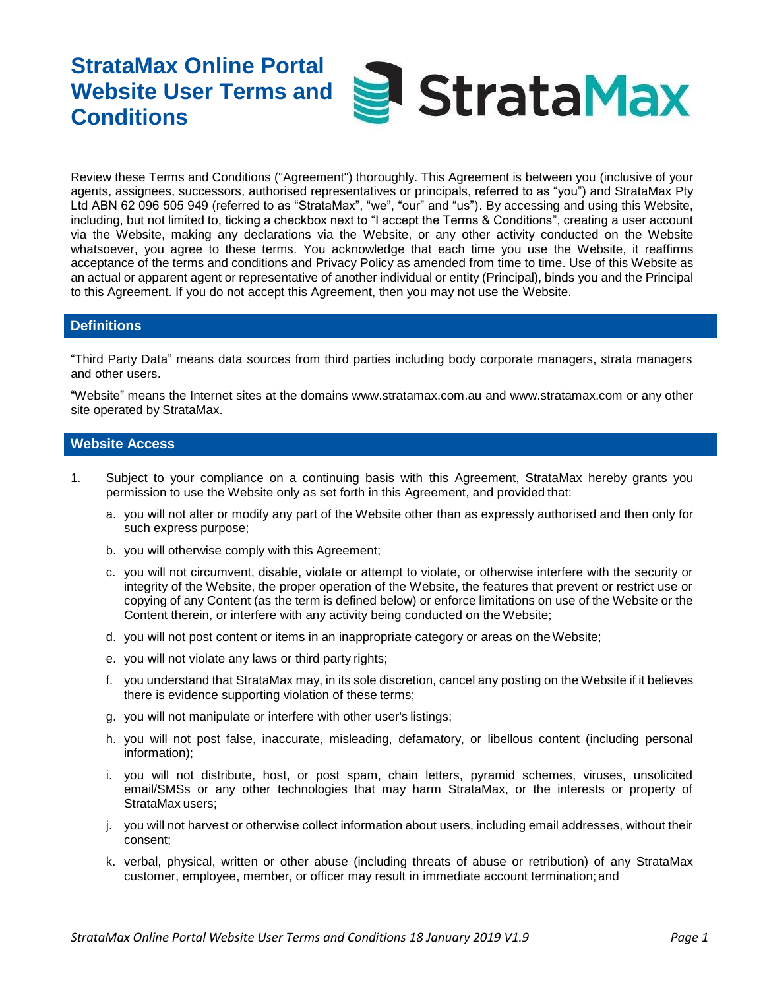# **StrataMax Online Portal** StrataMax **Website User Terms and Conditions**

Review these Terms and Conditions ("Agreement") thoroughly. This Agreement is between you (inclusive of your agents, assignees, successors, authorised representatives or principals, referred to as "you") and StrataMax Pty Ltd ABN 62 096 505 949 (referred to as "StrataMax", "we", "our" and "us"). By accessing and using this Website, including, but not limited to, ticking a checkbox next to "I accept the Terms & Conditions", creating a user account via the Website, making any declarations via the Website, or any other activity conducted on the Website whatsoever, you agree to these terms. You acknowledge that each time you use the Website, it reaffirms acceptance of the terms and conditions and Privacy Policy as amended from time to time. Use of this Website as an actual or apparent agent or representative of another individual or entity (Principal), binds you and the Principal to this Agreement. If you do not accept this Agreement, then you may not use the Website.

### **Definitions**

"Third Party Data" means data sources from third parties including body corporate managers, strata managers and other users.

"Website" means the Internet sites at the domains [www.stratamax.com.au](http://www.stratamax.com.au/) and [www.stratamax.com](http://www.stratamax.com/) or any other site operated by StrataMax.

#### **Website Access**

- 1. Subject to your compliance on a continuing basis with this Agreement, StrataMax hereby grants you permission to use the Website only as set forth in this Agreement, and provided that:
	- a. you will not alter or modify any part of the Website other than as expressly authorised and then only for such express purpose;
	- b. you will otherwise comply with this Agreement;
	- c. you will not circumvent, disable, violate or attempt to violate, or otherwise interfere with the security or integrity of the Website, the proper operation of the Website, the features that prevent or restrict use or copying of any Content (as the term is defined below) or enforce limitations on use of the Website or the Content therein, or interfere with any activity being conducted on the Website;
	- d. you will not post content or items in an inappropriate category or areas on theWebsite;
	- e. you will not violate any laws or third party rights;
	- f. you understand that StrataMax may, in its sole discretion, cancel any posting on the Website if it believes there is evidence supporting violation of these terms;
	- g. you will not manipulate or interfere with other user's listings;
	- h. you will not post false, inaccurate, misleading, defamatory, or libellous content (including personal information);
	- i. you will not distribute, host, or post spam, chain letters, pyramid schemes, viruses, unsolicited email/SMSs or any other technologies that may harm StrataMax, or the interests or property of StrataMax users;
	- j. you will not harvest or otherwise collect information about users, including email addresses, without their consent;
	- k. verbal, physical, written or other abuse (including threats of abuse or retribution) of any StrataMax customer, employee, member, or officer may result in immediate account termination; and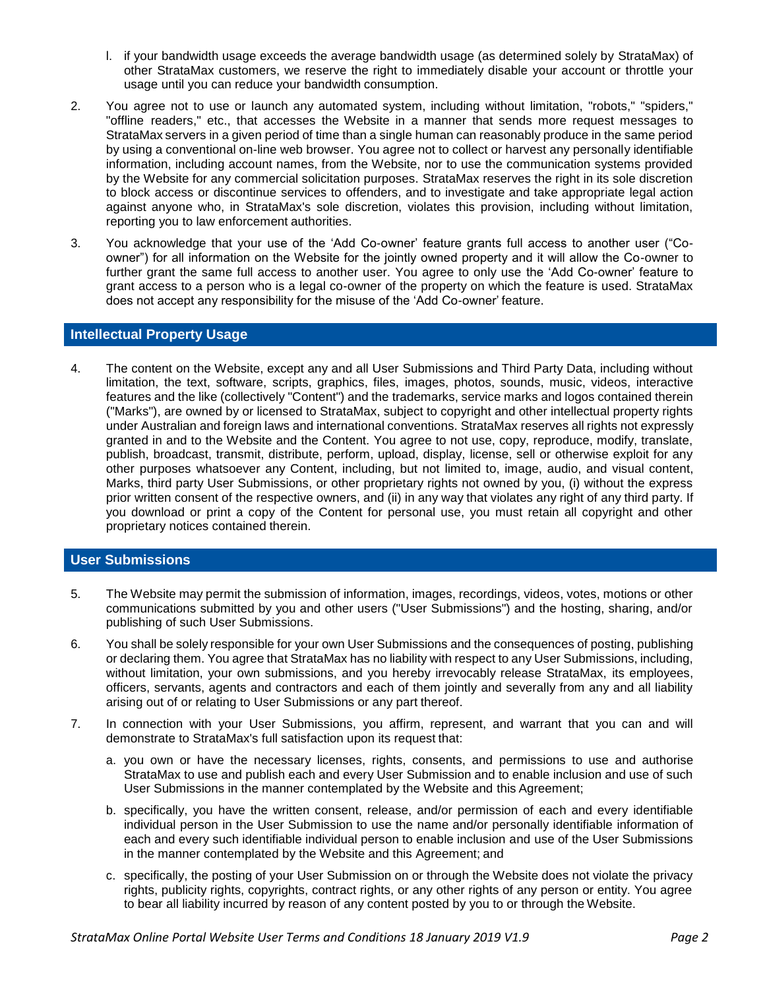- l. if your bandwidth usage exceeds the average bandwidth usage (as determined solely by StrataMax) of other StrataMax customers, we reserve the right to immediately disable your account or throttle your usage until you can reduce your bandwidth consumption.
- 2. You agree not to use or launch any automated system, including without limitation, "robots," "spiders," "offline readers," etc., that accesses the Website in a manner that sends more request messages to StrataMax servers in a given period of time than a single human can reasonably produce in the same period by using a conventional on-line web browser. You agree not to collect or harvest any personally identifiable information, including account names, from the Website, nor to use the communication systems provided by the Website for any commercial solicitation purposes. StrataMax reserves the right in its sole discretion to block access or discontinue services to offenders, and to investigate and take appropriate legal action against anyone who, in StrataMax's sole discretion, violates this provision, including without limitation, reporting you to law enforcement authorities.
- 3. You acknowledge that your use of the 'Add Co-owner' feature grants full access to another user ("Coowner") for all information on the Website for the jointly owned property and it will allow the Co-owner to further grant the same full access to another user. You agree to only use the 'Add Co-owner' feature to grant access to a person who is a legal co-owner of the property on which the feature is used. StrataMax does not accept any responsibility for the misuse of the 'Add Co-owner' feature.

## **Intellectual Property Usage**

4. The content on the Website, except any and all User Submissions and Third Party Data, including without limitation, the text, software, scripts, graphics, files, images, photos, sounds, music, videos, interactive features and the like (collectively "Content") and the trademarks, service marks and logos contained therein ("Marks"), are owned by or licensed to StrataMax, subject to copyright and other intellectual property rights under Australian and foreign laws and international conventions. StrataMax reserves all rights not expressly granted in and to the Website and the Content. You agree to not use, copy, reproduce, modify, translate, publish, broadcast, transmit, distribute, perform, upload, display, license, sell or otherwise exploit for any other purposes whatsoever any Content, including, but not limited to, image, audio, and visual content, Marks, third party User Submissions, or other proprietary rights not owned by you, (i) without the express prior written consent of the respective owners, and (ii) in any way that violates any right of any third party. If you download or print a copy of the Content for personal use, you must retain all copyright and other proprietary notices contained therein.

# **User Submissions**

- 5. The Website may permit the submission of information, images, recordings, videos, votes, motions or other communications submitted by you and other users ("User Submissions") and the hosting, sharing, and/or publishing of such User Submissions.
- 6. You shall be solely responsible for your own User Submissions and the consequences of posting, publishing or declaring them. You agree that StrataMax has no liability with respect to any User Submissions, including, without limitation, your own submissions, and you hereby irrevocably release StrataMax, its employees, officers, servants, agents and contractors and each of them jointly and severally from any and all liability arising out of or relating to User Submissions or any part thereof.
- 7. In connection with your User Submissions, you affirm, represent, and warrant that you can and will demonstrate to StrataMax's full satisfaction upon its request that:
	- a. you own or have the necessary licenses, rights, consents, and permissions to use and authorise StrataMax to use and publish each and every User Submission and to enable inclusion and use of such User Submissions in the manner contemplated by the Website and this Agreement;
	- b. specifically, you have the written consent, release, and/or permission of each and every identifiable individual person in the User Submission to use the name and/or personally identifiable information of each and every such identifiable individual person to enable inclusion and use of the User Submissions in the manner contemplated by the Website and this Agreement; and
	- c. specifically, the posting of your User Submission on or through the Website does not violate the privacy rights, publicity rights, copyrights, contract rights, or any other rights of any person or entity. You agree to bear all liability incurred by reason of any content posted by you to or through the Website.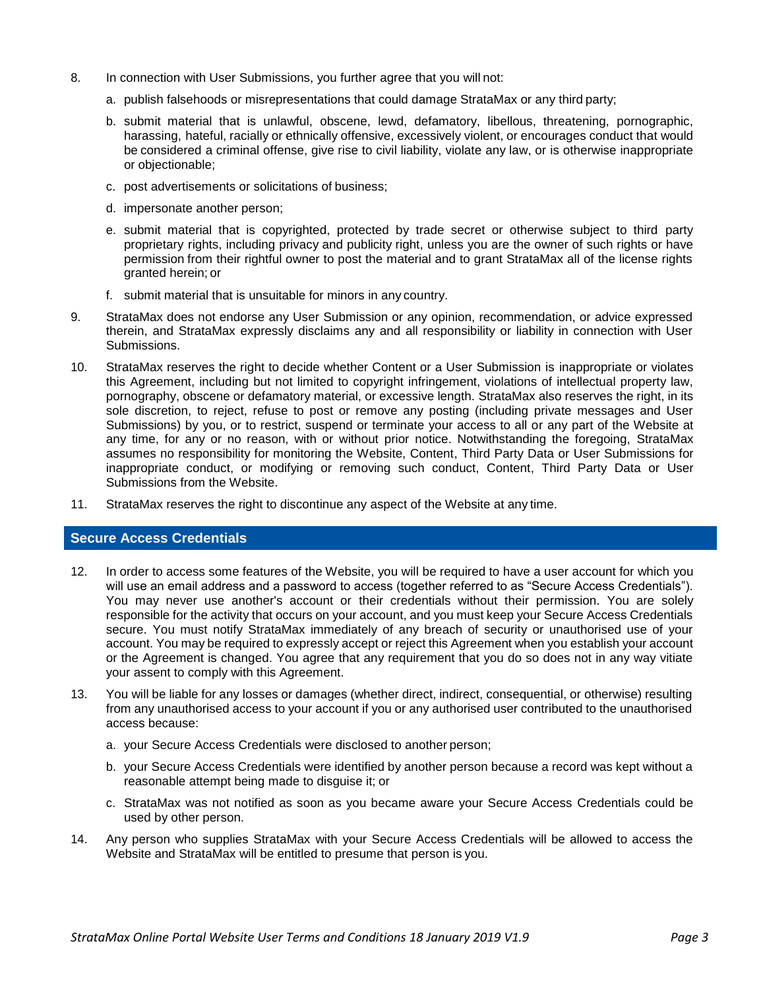- 8. In connection with User Submissions, you further agree that you will not:
	- a. publish falsehoods or misrepresentations that could damage StrataMax or any third party;
	- b. submit material that is unlawful, obscene, lewd, defamatory, libellous, threatening, pornographic, harassing, hateful, racially or ethnically offensive, excessively violent, or encourages conduct that would be considered a criminal offense, give rise to civil liability, violate any law, or is otherwise inappropriate or objectionable;
	- c. post advertisements or solicitations of business;
	- d. impersonate another person;
	- e. submit material that is copyrighted, protected by trade secret or otherwise subject to third party proprietary rights, including privacy and publicity right, unless you are the owner of such rights or have permission from their rightful owner to post the material and to grant StrataMax all of the license rights granted herein; or
	- f. submit material that is unsuitable for minors in any country.
- 9. StrataMax does not endorse any User Submission or any opinion, recommendation, or advice expressed therein, and StrataMax expressly disclaims any and all responsibility or liability in connection with User Submissions.
- 10. StrataMax reserves the right to decide whether Content or a User Submission is inappropriate or violates this Agreement, including but not limited to copyright infringement, violations of intellectual property law, pornography, obscene or defamatory material, or excessive length. StrataMax also reserves the right, in its sole discretion, to reject, refuse to post or remove any posting (including private messages and User Submissions) by you, or to restrict, suspend or terminate your access to all or any part of the Website at any time, for any or no reason, with or without prior notice. Notwithstanding the foregoing, StrataMax assumes no responsibility for monitoring the Website, Content, Third Party Data or User Submissions for inappropriate conduct, or modifying or removing such conduct, Content, Third Party Data or User Submissions from the Website.
- 11. StrataMax reserves the right to discontinue any aspect of the Website at any time.

## **Secure Access Credentials**

- 12. In order to access some features of the Website, you will be required to have a user account for which you will use an email address and a password to access (together referred to as "Secure Access Credentials"). You may never use another's account or their credentials without their permission. You are solely responsible for the activity that occurs on your account, and you must keep your Secure Access Credentials secure. You must notify StrataMax immediately of any breach of security or unauthorised use of your account. You may be required to expressly accept or reject this Agreement when you establish your account or the Agreement is changed. You agree that any requirement that you do so does not in any way vitiate your assent to comply with this Agreement.
- 13. You will be liable for any losses or damages (whether direct, indirect, consequential, or otherwise) resulting from any unauthorised access to your account if you or any authorised user contributed to the unauthorised access because:
	- a. your Secure Access Credentials were disclosed to another person;
	- b. your Secure Access Credentials were identified by another person because a record was kept without a reasonable attempt being made to disguise it; or
	- c. StrataMax was not notified as soon as you became aware your Secure Access Credentials could be used by other person.
- 14. Any person who supplies StrataMax with your Secure Access Credentials will be allowed to access the Website and StrataMax will be entitled to presume that person is you.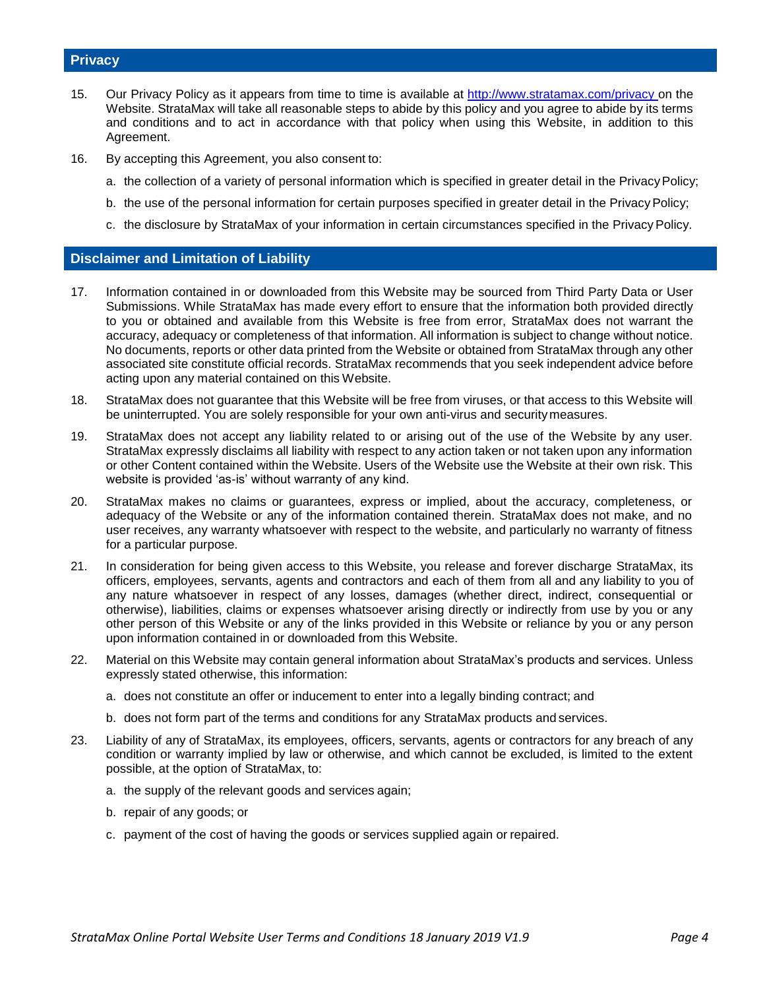#### **Privacy**

- 15. Our Privacy Policy as it appears from time to time is available at [http://www.stratamax.com/privacy o](http://www.stratamax.com/privacy)n the Website. StrataMax will take all reasonable steps to abide by this policy and you agree to abide by its terms and conditions and to act in accordance with that policy when using this Website, in addition to this Agreement.
- 16. By accepting this Agreement, you also consent to:
	- a. the collection of a variety of personal information which is specified in greater detail in the Privacy Policy;
	- b. the use of the personal information for certain purposes specified in greater detail in the Privacy Policy;
	- c. the disclosure by StrataMax of your information in certain circumstances specified in the Privacy Policy.

#### **Disclaimer and Limitation of Liability**

- 17. Information contained in or downloaded from this Website may be sourced from Third Party Data or User Submissions. While StrataMax has made every effort to ensure that the information both provided directly to you or obtained and available from this Website is free from error, StrataMax does not warrant the accuracy, adequacy or completeness of that information. All information is subject to change without notice. No documents, reports or other data printed from the Website or obtained from StrataMax through any other associated site constitute official records. StrataMax recommends that you seek independent advice before acting upon any material contained on this Website.
- 18. StrataMax does not guarantee that this Website will be free from viruses, or that access to this Website will be uninterrupted. You are solely responsible for your own anti-virus and securitymeasures.
- 19. StrataMax does not accept any liability related to or arising out of the use of the Website by any user. StrataMax expressly disclaims all liability with respect to any action taken or not taken upon any information or other Content contained within the Website. Users of the Website use the Website at their own risk. This website is provided 'as-is' without warranty of any kind.
- 20. StrataMax makes no claims or guarantees, express or implied, about the accuracy, completeness, or adequacy of the Website or any of the information contained therein. StrataMax does not make, and no user receives, any warranty whatsoever with respect to the website, and particularly no warranty of fitness for a particular purpose.
- 21. In consideration for being given access to this Website, you release and forever discharge StrataMax, its officers, employees, servants, agents and contractors and each of them from all and any liability to you of any nature whatsoever in respect of any losses, damages (whether direct, indirect, consequential or otherwise), liabilities, claims or expenses whatsoever arising directly or indirectly from use by you or any other person of this Website or any of the links provided in this Website or reliance by you or any person upon information contained in or downloaded from this Website.
- 22. Material on this Website may contain general information about StrataMax's products and services. Unless expressly stated otherwise, this information:
	- a. does not constitute an offer or inducement to enter into a legally binding contract; and
	- b. does not form part of the terms and conditions for any StrataMax products and services.
- 23. Liability of any of StrataMax, its employees, officers, servants, agents or contractors for any breach of any condition or warranty implied by law or otherwise, and which cannot be excluded, is limited to the extent possible, at the option of StrataMax, to:
	- a. the supply of the relevant goods and services again;
	- b. repair of any goods; or
	- c. payment of the cost of having the goods or services supplied again or repaired.